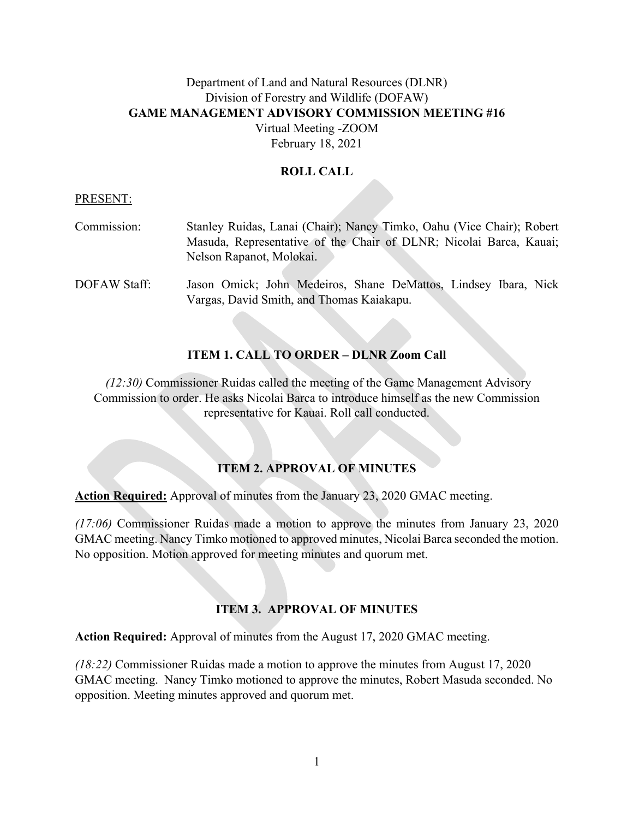# Department of Land and Natural Resources (DLNR) Division of Forestry and Wildlife (DOFAW) **GAME MANAGEMENT ADVISORY COMMISSION MEETING #16** Virtual Meeting -ZOOM

February 18, 2021

### **ROLL CALL**

#### PRESENT:

| Commission:  | Stanley Ruidas, Lanai (Chair); Nancy Timko, Oahu (Vice Chair); Robert                                        |
|--------------|--------------------------------------------------------------------------------------------------------------|
|              | Masuda, Representative of the Chair of DLNR; Nicolai Barca, Kauai;                                           |
|              | Nelson Rapanot, Molokai.                                                                                     |
| DOFAW Staff: | Jason Omick; John Medeiros, Shane DeMattos, Lindsey Ibara, Nick<br>Vargas, David Smith, and Thomas Kaiakapu. |

### **ITEM 1. CALL TO ORDER – DLNR Zoom Call**

*(12:30)* Commissioner Ruidas called the meeting of the Game Management Advisory Commission to order. He asks Nicolai Barca to introduce himself as the new Commission representative for Kauai. Roll call conducted.

### **ITEM 2. APPROVAL OF MINUTES**

**Action Required:** Approval of minutes from the January 23, 2020 GMAC meeting.

*(17:06)* Commissioner Ruidas made a motion to approve the minutes from January 23, 2020 GMAC meeting. Nancy Timko motioned to approved minutes, Nicolai Barca seconded the motion. No opposition. Motion approved for meeting minutes and quorum met.

### **ITEM 3. APPROVAL OF MINUTES**

**Action Required:** Approval of minutes from the August 17, 2020 GMAC meeting.

*(18:22)* Commissioner Ruidas made a motion to approve the minutes from August 17, 2020 GMAC meeting. Nancy Timko motioned to approve the minutes, Robert Masuda seconded. No opposition. Meeting minutes approved and quorum met.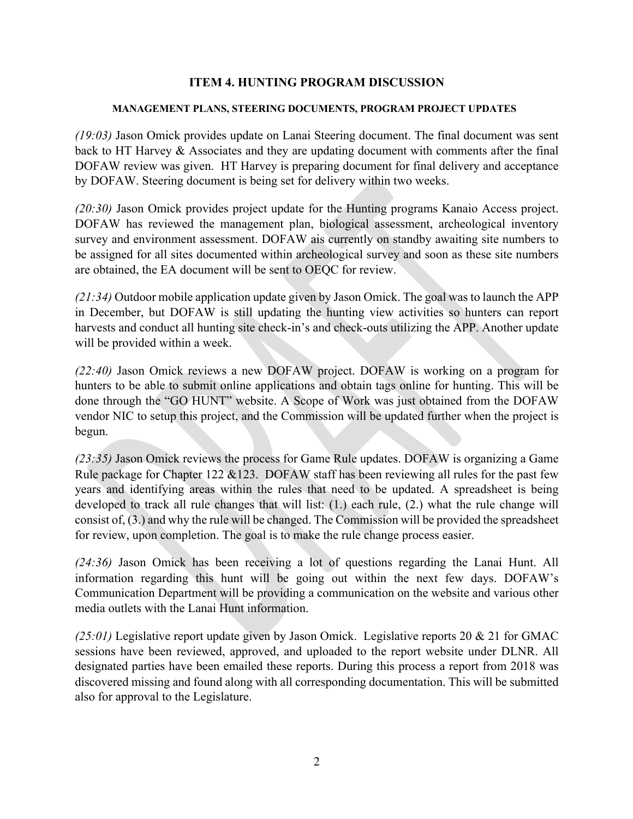#### **ITEM 4. HUNTING PROGRAM DISCUSSION**

#### **MANAGEMENT PLANS, STEERING DOCUMENTS, PROGRAM PROJECT UPDATES**

*(19:03)* Jason Omick provides update on Lanai Steering document. The final document was sent back to HT Harvey & Associates and they are updating document with comments after the final DOFAW review was given. HT Harvey is preparing document for final delivery and acceptance by DOFAW. Steering document is being set for delivery within two weeks.

*(20:30)* Jason Omick provides project update for the Hunting programs Kanaio Access project. DOFAW has reviewed the management plan, biological assessment, archeological inventory survey and environment assessment. DOFAW ais currently on standby awaiting site numbers to be assigned for all sites documented within archeological survey and soon as these site numbers are obtained, the EA document will be sent to OEQC for review.

*(21:34)* Outdoor mobile application update given by Jason Omick. The goal was to launch the APP in December, but DOFAW is still updating the hunting view activities so hunters can report harvests and conduct all hunting site check-in's and check-outs utilizing the APP. Another update will be provided within a week.

*(22:40)* Jason Omick reviews a new DOFAW project. DOFAW is working on a program for hunters to be able to submit online applications and obtain tags online for hunting. This will be done through the "GO HUNT" website. A Scope of Work was just obtained from the DOFAW vendor NIC to setup this project, and the Commission will be updated further when the project is begun.

*(23:35)* Jason Omick reviews the process for Game Rule updates. DOFAW is organizing a Game Rule package for Chapter 122 &123. DOFAW staff has been reviewing all rules for the past few years and identifying areas within the rules that need to be updated. A spreadsheet is being developed to track all rule changes that will list: (1.) each rule, (2.) what the rule change will consist of, (3.) and why the rule will be changed. The Commission will be provided the spreadsheet for review, upon completion. The goal is to make the rule change process easier.

*(24:36)* Jason Omick has been receiving a lot of questions regarding the Lanai Hunt. All information regarding this hunt will be going out within the next few days. DOFAW's Communication Department will be providing a communication on the website and various other media outlets with the Lanai Hunt information.

*(25:01)* Legislative report update given by Jason Omick. Legislative reports 20 & 21 for GMAC sessions have been reviewed, approved, and uploaded to the report website under DLNR. All designated parties have been emailed these reports. During this process a report from 2018 was discovered missing and found along with all corresponding documentation. This will be submitted also for approval to the Legislature.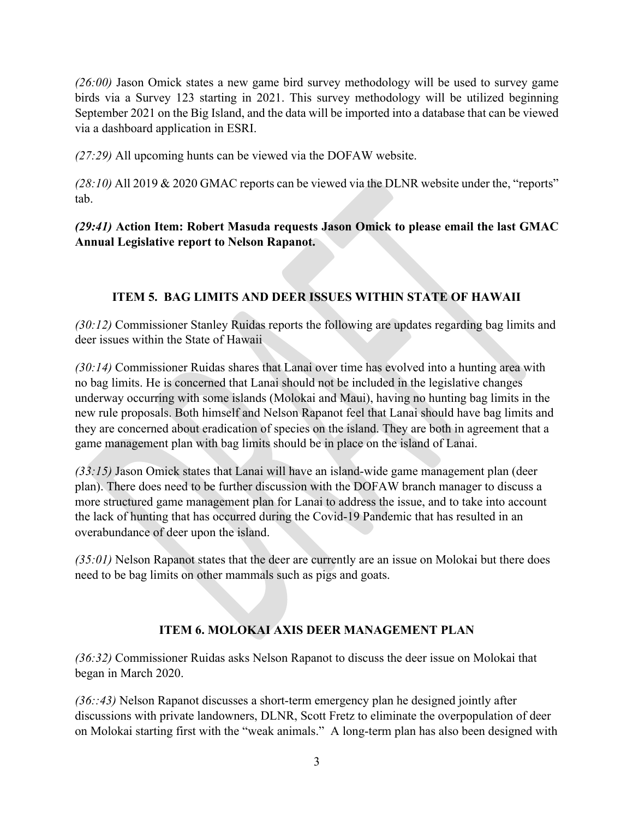*(26:00)* Jason Omick states a new game bird survey methodology will be used to survey game birds via a Survey 123 starting in 2021. This survey methodology will be utilized beginning September 2021 on the Big Island, and the data will be imported into a database that can be viewed via a dashboard application in ESRI.

*(27:29)* All upcoming hunts can be viewed via the DOFAW website.

*(28:10)* All 2019 & 2020 GMAC reports can be viewed via the DLNR website under the, "reports" tab.

*(29:41)* **Action Item: Robert Masuda requests Jason Omick to please email the last GMAC Annual Legislative report to Nelson Rapanot.**

## **ITEM 5. BAG LIMITS AND DEER ISSUES WITHIN STATE OF HAWAII**

*(30:12)* Commissioner Stanley Ruidas reports the following are updates regarding bag limits and deer issues within the State of Hawaii

*(30:14)* Commissioner Ruidas shares that Lanai over time has evolved into a hunting area with no bag limits. He is concerned that Lanai should not be included in the legislative changes underway occurring with some islands (Molokai and Maui), having no hunting bag limits in the new rule proposals. Both himself and Nelson Rapanot feel that Lanai should have bag limits and they are concerned about eradication of species on the island. They are both in agreement that a game management plan with bag limits should be in place on the island of Lanai.

*(33:15)* Jason Omick states that Lanai will have an island-wide game management plan (deer plan). There does need to be further discussion with the DOFAW branch manager to discuss a more structured game management plan for Lanai to address the issue, and to take into account the lack of hunting that has occurred during the Covid-19 Pandemic that has resulted in an overabundance of deer upon the island.

*(35:01)* Nelson Rapanot states that the deer are currently are an issue on Molokai but there does need to be bag limits on other mammals such as pigs and goats.

## **ITEM 6. MOLOKAI AXIS DEER MANAGEMENT PLAN**

*(36:32)* Commissioner Ruidas asks Nelson Rapanot to discuss the deer issue on Molokai that began in March 2020.

*(36::43)* Nelson Rapanot discusses a short-term emergency plan he designed jointly after discussions with private landowners, DLNR, Scott Fretz to eliminate the overpopulation of deer on Molokai starting first with the "weak animals." A long-term plan has also been designed with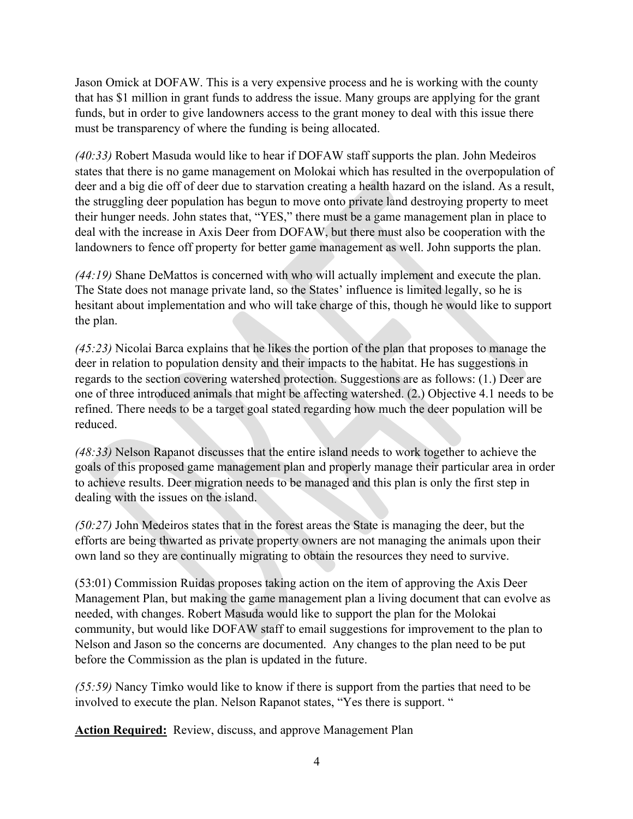Jason Omick at DOFAW. This is a very expensive process and he is working with the county that has \$1 million in grant funds to address the issue. Many groups are applying for the grant funds, but in order to give landowners access to the grant money to deal with this issue there must be transparency of where the funding is being allocated.

*(40:33)* Robert Masuda would like to hear if DOFAW staff supports the plan. John Medeiros states that there is no game management on Molokai which has resulted in the overpopulation of deer and a big die off of deer due to starvation creating a health hazard on the island. As a result, the struggling deer population has begun to move onto private land destroying property to meet their hunger needs. John states that, "YES," there must be a game management plan in place to deal with the increase in Axis Deer from DOFAW, but there must also be cooperation with the landowners to fence off property for better game management as well. John supports the plan.

*(44:19)* Shane DeMattos is concerned with who will actually implement and execute the plan. The State does not manage private land, so the States' influence is limited legally, so he is hesitant about implementation and who will take charge of this, though he would like to support the plan.

*(45:23)* Nicolai Barca explains that he likes the portion of the plan that proposes to manage the deer in relation to population density and their impacts to the habitat. He has suggestions in regards to the section covering watershed protection. Suggestions are as follows: (1.) Deer are one of three introduced animals that might be affecting watershed. (2.) Objective 4.1 needs to be refined. There needs to be a target goal stated regarding how much the deer population will be reduced.

*(48:33)* Nelson Rapanot discusses that the entire island needs to work together to achieve the goals of this proposed game management plan and properly manage their particular area in order to achieve results. Deer migration needs to be managed and this plan is only the first step in dealing with the issues on the island.

*(50:27)* John Medeiros states that in the forest areas the State is managing the deer, but the efforts are being thwarted as private property owners are not managing the animals upon their own land so they are continually migrating to obtain the resources they need to survive.

(53:01) Commission Ruidas proposes taking action on the item of approving the Axis Deer Management Plan, but making the game management plan a living document that can evolve as needed, with changes. Robert Masuda would like to support the plan for the Molokai community, but would like DOFAW staff to email suggestions for improvement to the plan to Nelson and Jason so the concerns are documented. Any changes to the plan need to be put before the Commission as the plan is updated in the future.

*(55:59)* Nancy Timko would like to know if there is support from the parties that need to be involved to execute the plan. Nelson Rapanot states, "Yes there is support. "

**Action Required:** Review, discuss, and approve Management Plan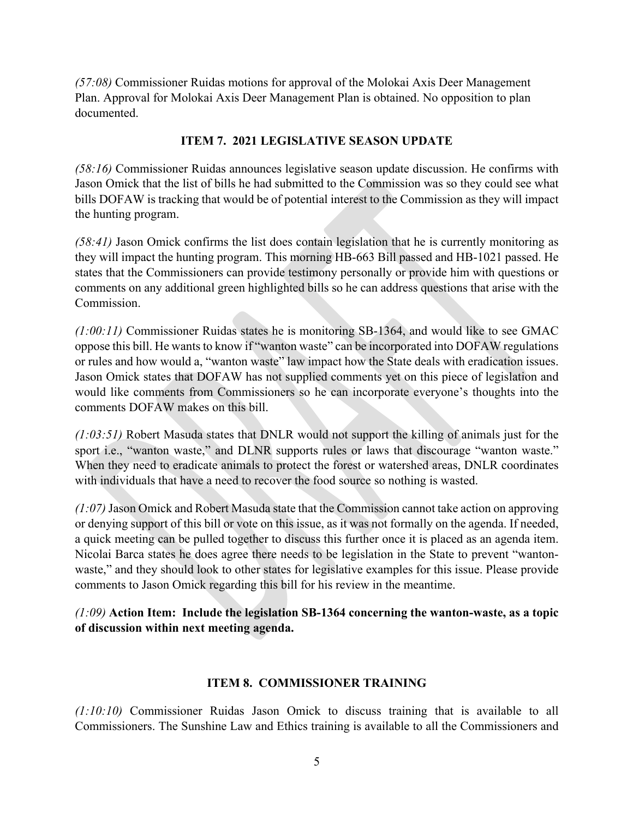*(57:08)* Commissioner Ruidas motions for approval of the Molokai Axis Deer Management Plan. Approval for Molokai Axis Deer Management Plan is obtained. No opposition to plan documented.

#### **ITEM 7. 2021 LEGISLATIVE SEASON UPDATE**

*(58:16)* Commissioner Ruidas announces legislative season update discussion. He confirms with Jason Omick that the list of bills he had submitted to the Commission was so they could see what bills DOFAW is tracking that would be of potential interest to the Commission as they will impact the hunting program.

*(58:41)* Jason Omick confirms the list does contain legislation that he is currently monitoring as they will impact the hunting program. This morning HB-663 Bill passed and HB-1021 passed. He states that the Commissioners can provide testimony personally or provide him with questions or comments on any additional green highlighted bills so he can address questions that arise with the Commission.

*(1:00:11)* Commissioner Ruidas states he is monitoring SB-1364, and would like to see GMAC oppose this bill. He wants to know if "wanton waste" can be incorporated into DOFAW regulations or rules and how would a, "wanton waste" law impact how the State deals with eradication issues. Jason Omick states that DOFAW has not supplied comments yet on this piece of legislation and would like comments from Commissioners so he can incorporate everyone's thoughts into the comments DOFAW makes on this bill.

*(1:03:51)* Robert Masuda states that DNLR would not support the killing of animals just for the sport *i.e.*, "wanton waste," and DLNR supports rules or laws that discourage "wanton waste." When they need to eradicate animals to protect the forest or watershed areas, DNLR coordinates with individuals that have a need to recover the food source so nothing is wasted.

*(1:07)* Jason Omick and Robert Masuda state that the Commission cannot take action on approving or denying support of this bill or vote on this issue, as it was not formally on the agenda. If needed, a quick meeting can be pulled together to discuss this further once it is placed as an agenda item. Nicolai Barca states he does agree there needs to be legislation in the State to prevent "wantonwaste," and they should look to other states for legislative examples for this issue. Please provide comments to Jason Omick regarding this bill for his review in the meantime.

*(1:09)* **Action Item: Include the legislation SB-1364 concerning the wanton-waste, as a topic of discussion within next meeting agenda.**

### **ITEM 8. COMMISSIONER TRAINING**

*(1:10:10)* Commissioner Ruidas Jason Omick to discuss training that is available to all Commissioners. The Sunshine Law and Ethics training is available to all the Commissioners and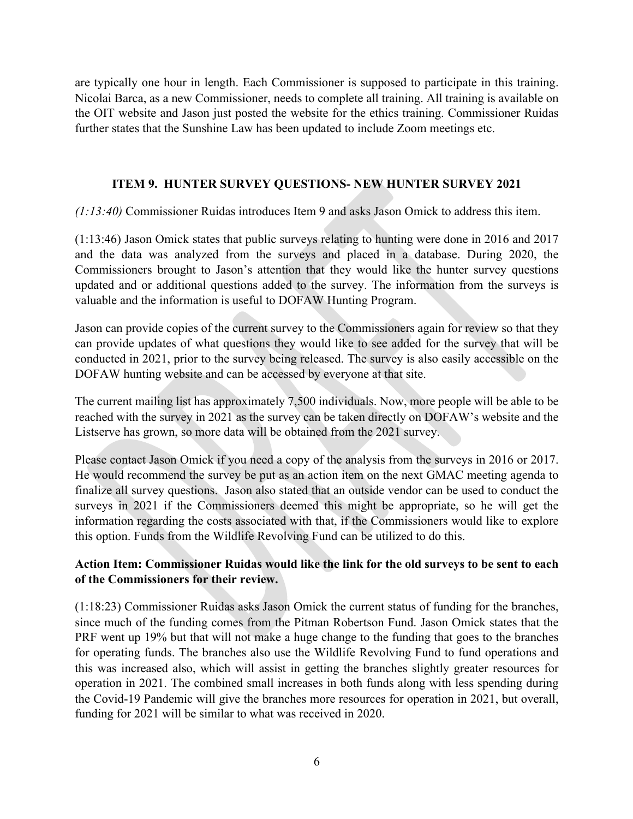are typically one hour in length. Each Commissioner is supposed to participate in this training. Nicolai Barca, as a new Commissioner, needs to complete all training. All training is available on the OIT website and Jason just posted the website for the ethics training. Commissioner Ruidas further states that the Sunshine Law has been updated to include Zoom meetings etc.

#### **ITEM 9. HUNTER SURVEY QUESTIONS- NEW HUNTER SURVEY 2021**

*(1:13:40)* Commissioner Ruidas introduces Item 9 and asks Jason Omick to address this item.

(1:13:46) Jason Omick states that public surveys relating to hunting were done in 2016 and 2017 and the data was analyzed from the surveys and placed in a database. During 2020, the Commissioners brought to Jason's attention that they would like the hunter survey questions updated and or additional questions added to the survey. The information from the surveys is valuable and the information is useful to DOFAW Hunting Program.

Jason can provide copies of the current survey to the Commissioners again for review so that they can provide updates of what questions they would like to see added for the survey that will be conducted in 2021, prior to the survey being released. The survey is also easily accessible on the DOFAW hunting website and can be accessed by everyone at that site.

The current mailing list has approximately 7,500 individuals. Now, more people will be able to be reached with the survey in 2021 as the survey can be taken directly on DOFAW's website and the Listserve has grown, so more data will be obtained from the 2021 survey.

Please contact Jason Omick if you need a copy of the analysis from the surveys in 2016 or 2017. He would recommend the survey be put as an action item on the next GMAC meeting agenda to finalize all survey questions. Jason also stated that an outside vendor can be used to conduct the surveys in 2021 if the Commissioners deemed this might be appropriate, so he will get the information regarding the costs associated with that, if the Commissioners would like to explore this option. Funds from the Wildlife Revolving Fund can be utilized to do this.

### **Action Item: Commissioner Ruidas would like the link for the old surveys to be sent to each of the Commissioners for their review.**

(1:18:23) Commissioner Ruidas asks Jason Omick the current status of funding for the branches, since much of the funding comes from the Pitman Robertson Fund. Jason Omick states that the PRF went up 19% but that will not make a huge change to the funding that goes to the branches for operating funds. The branches also use the Wildlife Revolving Fund to fund operations and this was increased also, which will assist in getting the branches slightly greater resources for operation in 2021. The combined small increases in both funds along with less spending during the Covid-19 Pandemic will give the branches more resources for operation in 2021, but overall, funding for 2021 will be similar to what was received in 2020.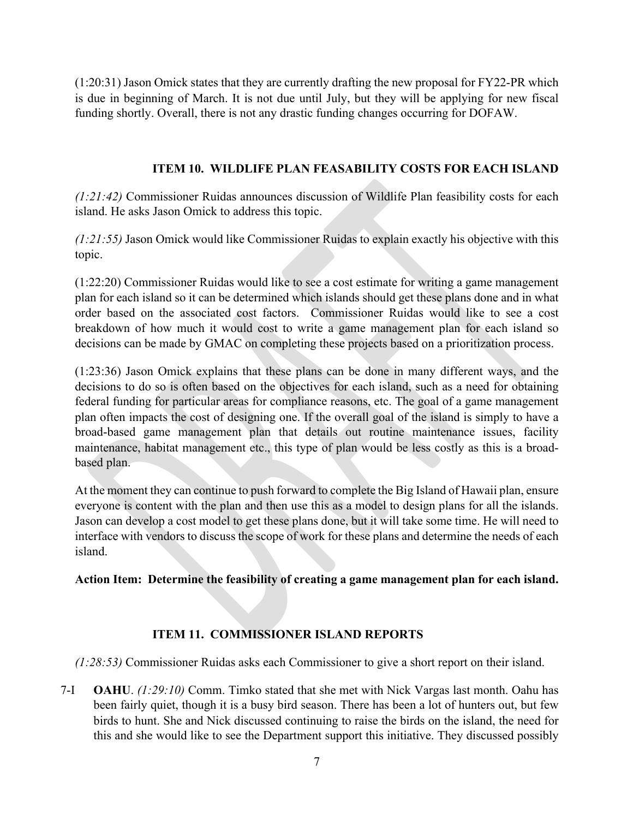(1:20:31) Jason Omick states that they are currently drafting the new proposal for FY22-PR which is due in beginning of March. It is not due until July, but they will be applying for new fiscal funding shortly. Overall, there is not any drastic funding changes occurring for DOFAW.

### **ITEM 10. WILDLIFE PLAN FEASABILITY COSTS FOR EACH ISLAND**

*(1:21:42)* Commissioner Ruidas announces discussion of Wildlife Plan feasibility costs for each island. He asks Jason Omick to address this topic.

*(1:21:55)* Jason Omick would like Commissioner Ruidas to explain exactly his objective with this topic.

(1:22:20) Commissioner Ruidas would like to see a cost estimate for writing a game management plan for each island so it can be determined which islands should get these plans done and in what order based on the associated cost factors. Commissioner Ruidas would like to see a cost breakdown of how much it would cost to write a game management plan for each island so decisions can be made by GMAC on completing these projects based on a prioritization process.

(1:23:36) Jason Omick explains that these plans can be done in many different ways, and the decisions to do so is often based on the objectives for each island, such as a need for obtaining federal funding for particular areas for compliance reasons, etc. The goal of a game management plan often impacts the cost of designing one. If the overall goal of the island is simply to have a broad-based game management plan that details out routine maintenance issues, facility maintenance, habitat management etc., this type of plan would be less costly as this is a broadbased plan.

At the moment they can continue to push forward to complete the Big Island of Hawaii plan, ensure everyone is content with the plan and then use this as a model to design plans for all the islands. Jason can develop a cost model to get these plans done, but it will take some time. He will need to interface with vendors to discuss the scope of work for these plans and determine the needs of each island.

**Action Item: Determine the feasibility of creating a game management plan for each island.**

### **ITEM 11. COMMISSIONER ISLAND REPORTS**

*(1:28:53)* Commissioner Ruidas asks each Commissioner to give a short report on their island.

7-I **OAHU**. *(1:29:10)* Comm. Timko stated that she met with Nick Vargas last month. Oahu has been fairly quiet, though it is a busy bird season. There has been a lot of hunters out, but few birds to hunt. She and Nick discussed continuing to raise the birds on the island, the need for this and she would like to see the Department support this initiative. They discussed possibly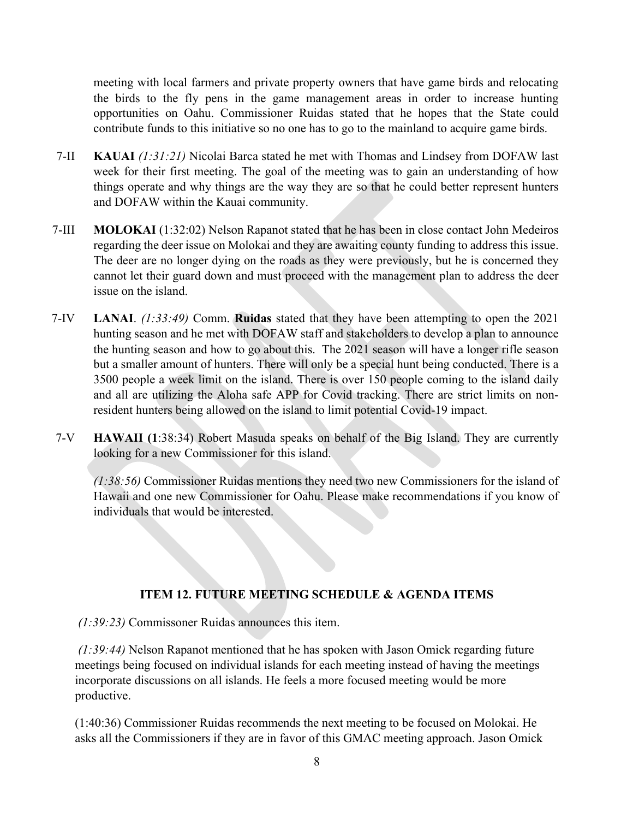meeting with local farmers and private property owners that have game birds and relocating the birds to the fly pens in the game management areas in order to increase hunting opportunities on Oahu. Commissioner Ruidas stated that he hopes that the State could contribute funds to this initiative so no one has to go to the mainland to acquire game birds.

- 7-II **KAUAI** *(1:31:21)* Nicolai Barca stated he met with Thomas and Lindsey from DOFAW last week for their first meeting. The goal of the meeting was to gain an understanding of how things operate and why things are the way they are so that he could better represent hunters and DOFAW within the Kauai community.
- 7-III **MOLOKAI** (1:32:02) Nelson Rapanot stated that he has been in close contact John Medeiros regarding the deer issue on Molokai and they are awaiting county funding to address this issue. The deer are no longer dying on the roads as they were previously, but he is concerned they cannot let their guard down and must proceed with the management plan to address the deer issue on the island.
- 7-IV **LANAI**. *(1:33:49)* Comm. **Ruidas** stated that they have been attempting to open the 2021 hunting season and he met with DOFAW staff and stakeholders to develop a plan to announce the hunting season and how to go about this. The 2021 season will have a longer rifle season but a smaller amount of hunters. There will only be a special hunt being conducted. There is a 3500 people a week limit on the island. There is over 150 people coming to the island daily and all are utilizing the Aloha safe APP for Covid tracking. There are strict limits on nonresident hunters being allowed on the island to limit potential Covid-19 impact.
- 7-V **HAWAII (1**:38:34) Robert Masuda speaks on behalf of the Big Island. They are currently looking for a new Commissioner for this island.

*(1:38:56)* Commissioner Ruidas mentions they need two new Commissioners for the island of Hawaii and one new Commissioner for Oahu. Please make recommendations if you know of individuals that would be interested.

## **ITEM 12. FUTURE MEETING SCHEDULE & AGENDA ITEMS**

*(1:39:23)* Commissoner Ruidas announces this item.

*(1:39:44)* Nelson Rapanot mentioned that he has spoken with Jason Omick regarding future meetings being focused on individual islands for each meeting instead of having the meetings incorporate discussions on all islands. He feels a more focused meeting would be more productive.

(1:40:36) Commissioner Ruidas recommends the next meeting to be focused on Molokai. He asks all the Commissioners if they are in favor of this GMAC meeting approach. Jason Omick